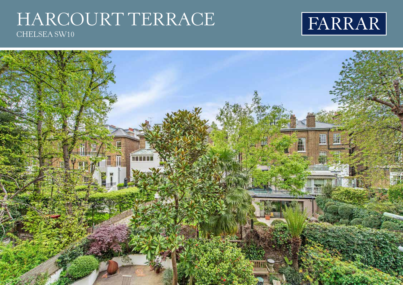## HARCOURT TERRACE CHELSEA SW10